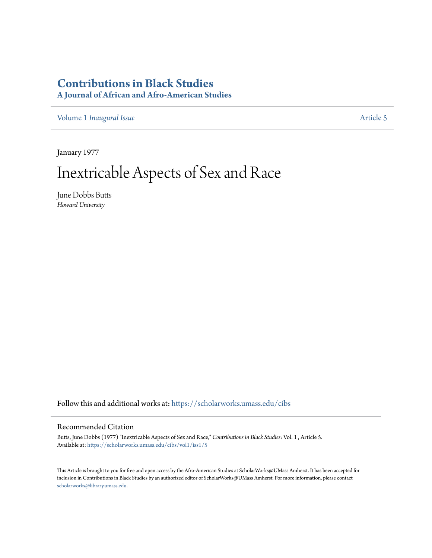# **[Contributions in Black Studies](https://scholarworks.umass.edu/cibs?utm_source=scholarworks.umass.edu%2Fcibs%2Fvol1%2Fiss1%2F5&utm_medium=PDF&utm_campaign=PDFCoverPages)**

**A Journal of African and Afro-American Studies**

Volume 1 *[Inaugural Issue](https://scholarworks.umass.edu/cibs/vol1?utm_source=scholarworks.umass.edu%2Fcibs%2Fvol1%2Fiss1%2F5&utm_medium=PDF&utm_campaign=PDFCoverPages)* [Article 5](https://scholarworks.umass.edu/cibs/vol1/iss1/5?utm_source=scholarworks.umass.edu%2Fcibs%2Fvol1%2Fiss1%2F5&utm_medium=PDF&utm_campaign=PDFCoverPages)

January 1977

# Inextricable Aspects of Sex and Race

June Dobbs Butts *Howard University*

Follow this and additional works at: [https://scholarworks.umass.edu/cibs](https://scholarworks.umass.edu/cibs?utm_source=scholarworks.umass.edu%2Fcibs%2Fvol1%2Fiss1%2F5&utm_medium=PDF&utm_campaign=PDFCoverPages)

## Recommended Citation

Butts, June Dobbs (1977) "Inextricable Aspects of Sex and Race," *Contributions in Black Studies*: Vol. 1 , Article 5. Available at: [https://scholarworks.umass.edu/cibs/vol1/iss1/5](https://scholarworks.umass.edu/cibs/vol1/iss1/5?utm_source=scholarworks.umass.edu%2Fcibs%2Fvol1%2Fiss1%2F5&utm_medium=PDF&utm_campaign=PDFCoverPages)

This Article is brought to you for free and open access by the Afro-American Studies at ScholarWorks@UMass Amherst. It has been accepted for inclusion in Contributions in Black Studies by an authorized editor of ScholarWorks@UMass Amherst. For more information, please contact [scholarworks@library.umass.edu](mailto:scholarworks@library.umass.edu).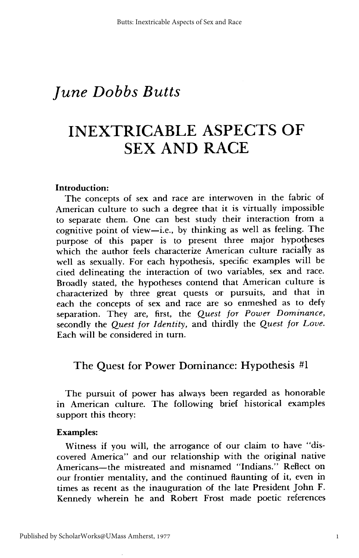# **INEXTRICABLE ASPECTS OF** SEX AND **RACE**

#### **Introduction:**

The concepts of sex and race are interwoven in the fabric of American culture to such a degree that it is virtually impossible to separate them. One can best study their interaction from a cognitive point of view-i.e., by thinking as well as feeling. The purpose of this paper is to present three major hypotheses which the author feels characterize American culture racially as well as sexually. For each hypothesis, specific examples will be cited delineating the interaction of two variables, sex and race. Broadly stated, the hypotheses contend that American culture is characterized by three great quests or pursuits, and that in each the concepts of sex and race are so enmeshed as to defy separation. They are, first, the *Quest for Power Dominance,* secondly the *Quest for Identity,* and thirdly the *Quest for Love.* Each will be considered in turn.

# The Quest for Power Dominance: Hypothesis #1

The pursuit of power has always been regarded as honorable in American culture. The following brief historical examples support this theory:

#### Examples:

Witness if you will, the arrogance of our claim to have "discovered America" and our relationship with the original native Americans-the mistreated and misnamed "Indians." Reflect on our frontier mentality, and the continued flaunting of it, even in times as recent as the inauguration of the late President John F. Kennedy wherein he and Robert Frost made poetic references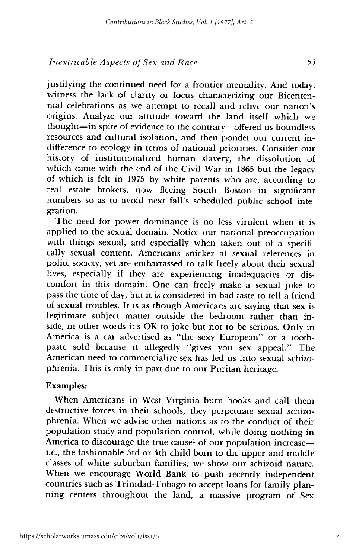justifying the continued need for a frontier mentality. And today, witness the lack of clarity or focus characterizing our Bicentennial celebrations as we attempt to recall and relive our nation's origins. Analyze our attitude toward the land itself which we thought-in spite of evidence to the contrary-offered us boundless resources and cultural isolation, and then ponder our current indifference to ecology in terms of national priorities. Consider our history of institutionalized human slavery, the dissolution of which came with the end of the Civil War in 1865 but the legacy of which is felt in 1975 by white parents who are, according to real estate brokers, now fleeing South Boston in significant numbers so as to avoid next fall's scheduled public school integration.

The need for power dominance is no less virulent when it is applied to the sexual domain. Notice our national preoccupation with things sexual, and especially when taken out of a specifically sexual content. Americans snicker at sexual references in polite society, yet are embarrassed to talk freely about their sexual lives, especially if they are experiencing inadequacies or discomfort in this domain. One can freely make a sexual joke to pass the time of day, but it is considered in bad taste to tell a friend of sexual troubles. It is as though Americans are saying that sex is legitimate subject matter outside the bedroom rather than inside, in other words it's OK to joke but not to be serious. Only in America is a car advertised as "the sexy European" or a toothpaste sold because it allegedly "gives you sex appeal." The American need to commercialize sex has led us into sexual schizophrenia. This is only in part dup to our Puritan heritage.

#### Examples:

When Americans in West Virginia burn books and call them destructive forces in their schools, they perpetuate sexual schizophrenia. When we advise other nations as to the conduct of their population study and population control, while doing nothing in America to discourage the true cause<sup>1</sup> of our population increasei.e., the fashionable 3rd or 4th child born to the upper and middle classes of white suburban families, we show our schizoid nature. When we encourage World Bank to push recently independent countries such as Trinidad-Tobago to accept loans for family planning centers throughout the land, a massive program of Sex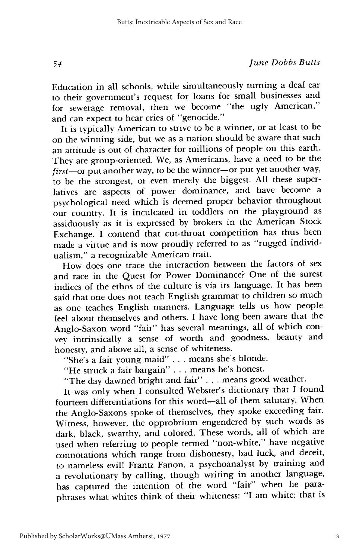Education in all schools, while simultaneously turning a deaf ear to their government's request for loans for small businesses and for sewerage removal, then we become "the ugly American," and can expect to hear cries of "genocide."

It is typically American to strive to be a winner, or at least to be on the winning side, but we as a nation should be aware that such an attitude is out of character for millions of people on this earth. They are group-oriented. We, as Americans, have a need to be the *first-or* put another way, to be the winner-or put yet another way, to be the strongest, or even merely the biggest. All these superlatives are aspects of power dominance, and have become a psychological need which is deemed proper behavior throughout our country. It is inculcated in toddlers on the playground as assiduously as it is expressed by brokers in the American Stock Exchange. I contend that cut-throat competition has thus been made a virtue and is now proudly referred to as "rugged individualism," a recognizable American trait.

How does one trace the interaction between the factors of sex and race in the Quest for Power Dominance? One of the surest indices of the ethos of the culture is via its language. It has been said that one does not teach English grammar to children so much as one teaches English manners. Language tells us how people feel about themselves and others. I have long been aware that the Anglo-Saxon word "fair" has several meanings, all of which convey intrinsically a sense of worth and goodness, beauty and honesty, and above all, a sense of whiteness.

"She's a fair young maid" . . . means she's blonde.

"He struck a fair bargain" . . . means he's honest.

"The day dawned bright and fair" ... means good weather.

It was only when I consulted Webster's dictionary that I found fourteen differentiations for this word-all of them salutary. When the Anglo-Saxons spoke of themselves, they spoke exceeding fair. Witness, however, the opprobrium engendered by such words as dark, black, swarthy, and colored. These words, all of which are used when referring to people termed "non-white," have negative connotations which range from dishonesty, bad luck, and deceit, to nameless evil! Frantz Fanon, a psychoanalyst by training and a revolutionary by calling, though writing in another language, has captured the intention of the word "fair" when he paraphrases what whites think of their whiteness: "I am white: that is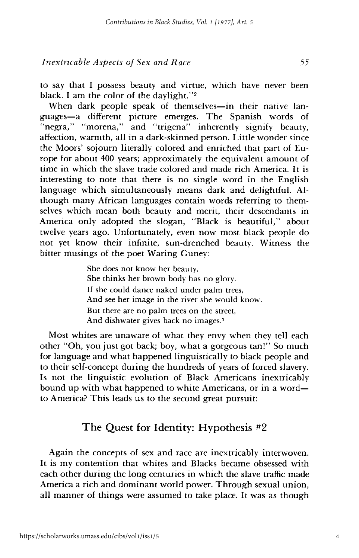to say that I possess beauty and virtue, which have never been black. I am the color of the daylight."2

When dark people speak of themselves-in their native languages-a different picture emerges. The Spanish words of "negra," "morena," and "trigena" inherently signify beauty, affection, warmth, all in a dark-skinned person. Little wonder since the Moors' sojourn literally colored and enriched that part of Europe for about 400 years; approximately the equivalent amount of time in which the slave trade colored and made rich America. It is interesting to note that there is no single word in the English language which simultaneously means dark and delightful. Although many African languages contain words referring to themselves which mean both beauty and merit, their descendants in America only adopted the slogan, "Black is beautiful," about twelve years ago. Unfortunately, even now most black people do not yet know their infinite, sun-drenched beauty. Witness the bitter musings of the poet Waring Guney:

> She does not know her beauty, She thinks her brown body has no glory. If she could dance naked under palm trees, And see her image in the river she would know. But there are no palm trees on the street, And dishwater gives back no images.<sup>3</sup>

Most whites are unaware of what they envy when they tell each other "Oh, you just got back; boy, what a gorgeous tan!" So much for language and what happened linguistically to black people and to their self-concept during the hundreds of years of forced slavery. Is not the linguistic evolution of Black Americans inextricably bound up with what happened to white Americans, or in a word to America? This leads us to the second great pursuit:

## The Quest for Identity: Hypothesis #2

Again the concepts of sex and race are inextricably interwoven. It is my contention that whites and Blacks became obsessed with each other during the long centuries in which the slave traffic made America a rich and dominant world power. Through sexual union, all manner of things were assumed to take place. It was as though

4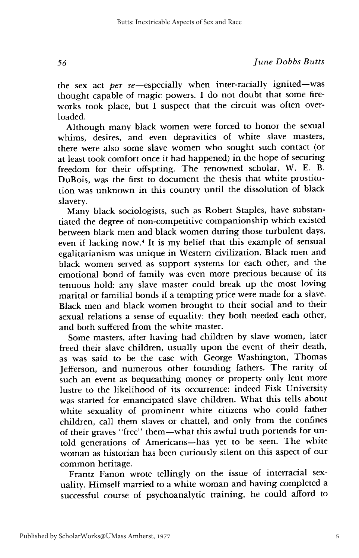the sex act *per* se-especially when inter-racially ignited-was thought capable of magic powers. I do not doubt that some fireworks took place, but I suspect that the circuit was often overloaded.

Although many black women were forced to honor the sexual whims, desires, and even depravities of white slave masters, there were also some slave women who sought such contact (or at least took comfort once it had happened) in the hope of securing freedom for their offspring. The renowned scholar, W. E. B. DuBois, was the first to document the thesis that white prostitution was unknown in this country until the dissolution of black slavery.

Many black sociologists, such as Robert Staples, have substantiated the degree of non-competitive companionship which existed between black men and black women during those turbulent days, even if lacking now.<sup>4</sup> It is my belief that this example of sensual egalitarianism was unique in Western civilization. Black men and black women served as support systems for each other, and the emotional bond of family was even more precious because of its tenuous hold: any slave master could break up the most loving marital or familial bonds if a tempting price were made for a slave. Black men and black women brought to their social and to their sexual relations a sense of equality: they both needed each other, and both suffered from the white master.

Some masters, after having had children by slave women, later freed their slave children, usually upon the event of their death, as was said to be the case with George Washington, Thomas Jefferson, and numerous other founding fathers. The rarity of such an event as bequeathing money or property only lent more lustre to the likelihood of its occurrence: indeed Fisk University was started for emancipated slave children. What this tells about white sexuality of prominent white citizens who could father children, call them slaves or chattel, and only from the confines of their graves "free" them-what this awful truth portends for untold generations of Americans-has yet to be seen. The white woman as historian has been curiously silent on this aspect of our common heritage.

Frantz Fanon wrote tellingly on the issue of interracial sexuality. Himself married to a white woman and having completed a successful course of psychoanalytic training, he could afford to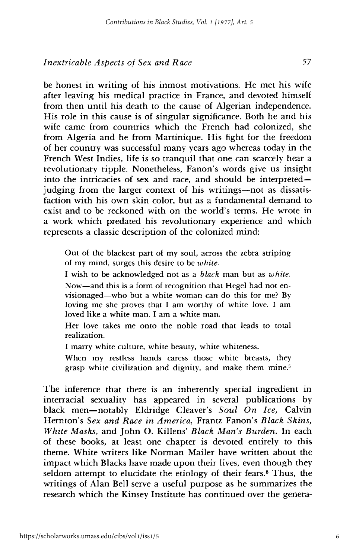be honest in writing of his inmost motivations. He met his wife after leaving his medical practice in France, and devoted himself from then until his death to the cause of Algerian independence. His role in this cause is of singular significance. Both he and his wife came from countries which the French had colonized, she from Algeria and he from Martinique. His fight for the freedom of her country was successful many years ago whereas today in the French West Indies, life is so tranquil that one can scarcely hear a revolutionary ripple. Nonetheless, Fanon's words give us insight into the intricacies of sex and race, and should be interpretedjudging from the larger context of his writings-not as dissatisfaction with his own skin color, but as a fundamental demand to exist and to be reckoned with on the world's terms. He wrote in a work which predated his revolutionary experience and which represents a classic description of the colonized mind:

Out of the blackest part of my soul, across the zebra striping of my mind, surges this desire to be *white.*

I wish to be acknowledged not as a *black* man but as *white.*

Now-and this is a form of recognition that Hegel had not envisionaged-who but a white woman can do this for me? By loving me she proves that I am worthy of white love. I am loved like a white man. I am a white man.

Her love takes me onto the noble road that leads to total realization.

I marry white culture, white beauty, white whiteness.

When my restless hands caress those white breasts, they grasp white civilization and dignity, and make them mine.<sup>5</sup>

The inference that there is an inherently special ingredient in interracial sexuality has appeared in several publications by black men-notably Eldridge Cleaver's *Soul On Ice,* Calvin Hernton's *Sex and Race in America,* Frantz Fanon's *Black Skins, White Masks,* and John O. Killens' *Black Man's Burden.* In each of these books, at least one chapter is devoted entirely to this theme. White writers like Norman Mailer have written about the impact which Blacks have made upon their lives, even though they seldom attempt to elucidate the etiology of their fears.<sup>6</sup> Thus, the writings of Alan Bell serve a useful purpose as he summarizes the research which the Kinsey Institute has continued over the genera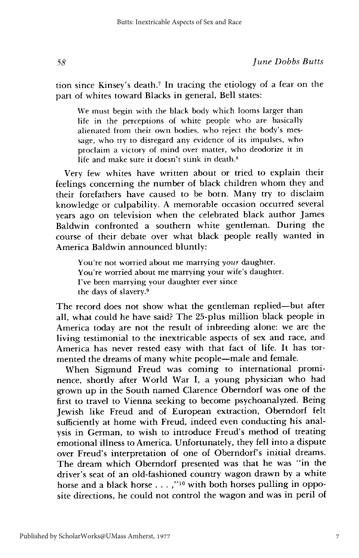tion since Kinsey's death.7 **In** tracing the etiology of a fear on the part of whites toward Blacks in general, Bell states:

We must begin with the black body which looms larger than life in the perceptions of white people who are basically alienated from their own bodies, who reject the body's message, who try to disregard any evidence of its impulses, who proclaim a victory of mind over matter, who deodorize it in life and make sure it doesn't stink in death.<sup>8</sup>

Very few whites have written about or tried to explain their feelings concerning the number of black children whom they and their forefathers have caused to be born. Many try to disclaim knowledge or culpability. A memorable occasion occurred several years ago on television when the celebrated black author James Baldwin confronted a southern white gentleman. During the course of their debate over what black people really wanted in America Baldwin announced bluntly:

You're not worried about me marrying your daughter. You're worried about me marrying your wife's daughter. I've been marrying your daughter ever since the days of slavery.9

The record does not show what the gentleman replied-but after all, what could he have said? The 25-plus million black people in America today are not the result of inbreeding alone: we are the living testimonial to the inextricable aspects of sex and race, and America has never rested easy with that fact of life. It has tormented the dreams of many white people—male and female.

When Sigmund Freud was coming to international prominence, shortly after World War I, a young physician who had grown up in the South named Clarence Oberndorf was one of the first to travel to Vienna seeking to become psychoanalyzed. Being Jewish like Freud and of European extraction, Oberndorf felt sufficiently at home with Freud, indeed even conducting his analysis in German, to wish to introduce Freud's method of treating emotional illness to America. Unfortunately, they fell into a dispute over Freud's interpretation of one of Oberndorf's initial dreams. The dream which Oberndorf presented was that he was "in the driver's seat of an old-fashioned country wagon drawn by a white horse and a black horse . . . ,"<sup>10</sup> with both horses pulling in opposite directions, he could not control the wagon and was in peril of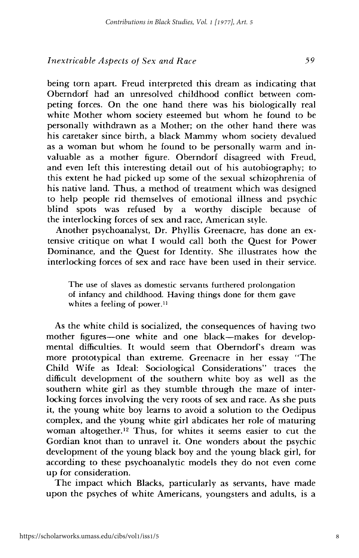being torn apart. Freud interpreted this dream as indicating that Oberndorf had an unresolved childhood conflict between competing forces. On the one hand there was his biologically real white Mother whom society esteemed but whom he found to be personally withdrawn as a Mother; on the other hand there was his caretaker since birth, a black Mammy whom society devalued as a woman but whom he found to be personally warm and invaluable as a mother figure. Oberndorf disagreed with Freud, and even left this interesting detail out of his autobiography; to this extent he had picked up some of the sexual schizophrenia of his native land. Thus, a method of treatment which was designed to help people rid themselves of emotional illness and psychic blind spots was refused by a worthy disciple because of the interlocking forces of sex and race, American style.

Another psychoanalyst, Dr. Phyllis Greenacre, has done an extensive critique on what I would call both the Quest for Power Dominance, and the Quest for Identity. She illustrates how the interlocking forces of sex and race have been used in their service.

The use of slaves as domestic servants furthered prolongation of infancy and childhood. Having things done for them gave whites a feeling of power.<sup>11</sup>

As the white child is socialized, the consequences of having two mother figures-one white and one black-makes for developmental difficulties. It would seem that Oberndorf's dream was more prototypical than extreme. Greenacre in her essay "The Child Wife as Ideal: Sociological Considerations" traces the difficult development of the southern white boy as well as the southern white girl as they stumble through the maze of interlocking forces involving the very roots of sex and race. As she puts it, the young white boy learns to avoid a solution to the Oedipus complex, and the young white girl abdicates her role of maturing woman altogether.<sup>12</sup> Thus, for whites it seems easier to cut the Gordian knot than to unravel it. One wonders about the psychic development of the young black boy and the young black girl, for according to these psychoanalytic models they do not even come up for consideration.

The impact which Blacks, particularly as servants, have made upon the psyches of white Americans, youngsters and adults, is a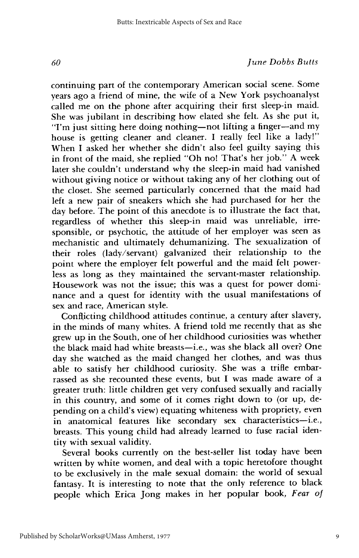continuing part of the contemporary American social scene. Some years ago a friend of mine, the wife of a New York psychoanalyst called me on the phone after acquiring their first sleep-in maid. She was jubilant in describing how elated she felt. As she put it, "I'm just sitting here doing nothing-not lifting a finger-and my house is getting cleaner and cleaner. I really feel like a lady!" When I asked her whether she didn't also feel guilty saying this in front of the maid, she replied "Oh no! That's her job." A week later she couldn't understand why the sleep-in maid had vanished without giving notice or without taking any of her clothing out of the closet. She seemed particularly concerned that the maid had left a new pair of sneakers which she had purchased for her the day before. The point of this anecdote is to illustrate the fact that, regardless of whether this sleep-in maid was unreliable, irresponsible, or psychotic, the attitude of her employer was seen as mechanistic and ultimately dehumanizing. The sexualization of their roles (lady/servant) galvanized their relationship to the point where the employer felt powerful and the maid felt powerless as long as they maintained the servant-master relationship. Housework was not the issue; this was a quest for power dominance and a quest for identity with the usual manifestations of sex and race, American style.

Conflicting childhood attitudes continue, a century after slavery, in the minds of many whites. A friend told me recently that as she grew up in the South, one of her childhood curiosities was whether the black maid had white breasts-i.e., was she black all over? One day she watched as the maid changed her clothes, and was thus able to satisfy her childhood curiosity. She was a trifle embarrassed as she recounted these events, but I was made aware of a greater truth: little children get very confused sexually and racially in this country, and some of it comes right down to (or up, depending on a child's view) equating whiteness with propriety, even in anatomical features like secondary sex characteristics-i.e., breasts. This young child had already learned to fuse racial identity with sexual validity.

Several books currently on the best-seller list today have been written by white women, and deal with a topic heretofore thought to be exclusively in the male sexual domain: the world of sexual fantasy. It is interesting to note that the only reference to black people which Erica Jong makes in her popular book, *Fear of*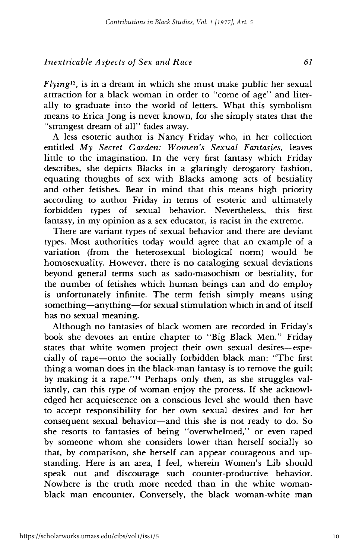*Flyingl3 ,* is in a dream in which she must make public her sexual attraction for a black woman in order to "come of age" and literally to graduate into the world of letters. What this symbolism means to Erica long is never known, for she simply states that the "strangest dream of all" fades away.

A less esoteric author is Nancy Friday who, in her collection entitled *My Secret Garden: Women's Sexual Fantasies,* leaves little to the imagination. In the very first fantasy which Friday describes, she depicts Blacks in a glaringly derogatory fashion, equating thoughts of sex with Blacks among acts of bestiality and other fetishes. Bear in mind that this means high priority according to author Friday in terms of esoteric and ultimately forbidden types of sexual behavior. Nevertheless, this first fantasy, in my opinion as a sex educator, is racist in the extreme.

There are variant types of sexual behavior and there are deviant types. Most authorities today would agree that an example of a variation (from the heterosexual biological norm) would be homosexuality. However, there is no cataloging sexual deviations beyond general terms such as sado-masochism or bestiality, for the number of fetishes which human beings can and do employ is unfortunately infinite. The term fetish simply means using something—anything—for sexual stimulation which in and of itself has no sexual meaning.

Although no fantasies of black women are recorded in Friday's book she devotes an entire chapter to "Big Black Men." Friday states that white women project their own sexual desires-especially of rape-onto the socially forbidden black man: "The first thing a woman does in the black-man fantasy is to remove the guilt by making it a rape."14 Perhaps only then, as she struggles valiantly, can this type of woman enjoy the process. If she acknowledged her acquiescence on a conscious level she would then have to accept responsibility for her own sexual desires and for her consequent sexual behavior-and this she is not ready to do. So she resorts to fantasies of being "overwhelmed," or even raped by someone whom she considers lower than herself socially so that, by comparison, she herself can appear courageous and upstanding. Here is an area, I feel, wherein Women's Lib should speak out and discourage such counter-productive behavior. Nowhere is the truth more needed than in the white womanblack man encounter. Conversely, the black woman-white man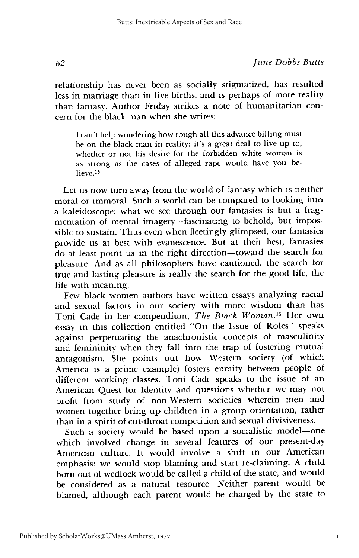relationship has never been as socially stigmatized, has resulted less in marriage than in live births, and is perhaps of more reality than fantasy. Author Friday strikes a note of humanitarian concern for the black man when she writes:

I can't help wondering how rough all this advance billing must be on the black man in reality; it's a great deal to live up to, whether or not his desire for the forbidden white woman is as strong as the cases of alleged rape would have you believe<sup>15</sup>

Let us now turn away from the world of fantasy which is neither moral or immoral. Such a world can be compared to looking into a kaleidoscope: what we see through our fantasies is but a fragmentation of mental imagery—fascinating to behold, but impossible to sustain. Thus even when fleetingly glimpsed, our fantasies provide us at best with evanescence. But at their best, fantasies do at least point us in the right direction-toward the search for pleasure. And as all philosophers have cautioned, the search for true and lasting pleasure is really the search for the good life, the life with meaning.

Few black women authors have written essays analyzing racial and sexual factors in our society with more wisdom than has Toni Cade in her compendium, *The Black Woman. <sup>16</sup>* Her own essay in this collection entitled "On the Issue of Roles" speaks against perpetuating the anachronistic concepts of masculinity and femininity when they fall into the trap of fostering mutual antagonism. She points out how Western society (of which America is a prime example) fosters enmity between people of different working classes. Toni Cade speaks to the issue of an American Quest for Identity and questions whether we may not profit from study of non-Western societies wherein men and women together bring up children in a group orientation, rather than in a spirit of cut-throat competition and sexual divisiveness.

Such a society would be based upon a socialistic model-one which involved change in several features of our present-day American culture. It would involve a shift in our American emphasis: we would stop blaming and start re-claiming. A child born out of wedlock would be called a child of the state, and would be considered as a natural resource. Neither parent would be blamed, although each parent would be charged by the state to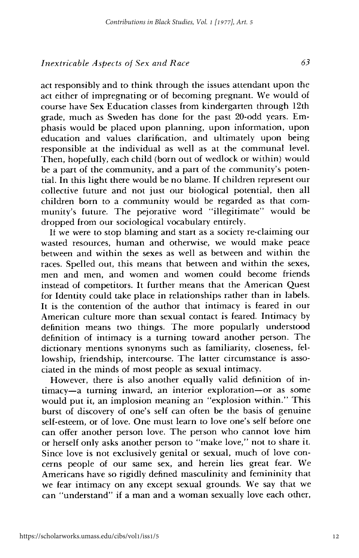act responsibly and to think through the issues attendant upon the act either of impregnating or of becoming pregnant. We would of course have Sex Education classes from kindergarten through 12th grade, much as Sweden has done for the past 20-odd years. Emphasis would be placed upon planning, upon information, upon education and values clarification, and ultimately upon being responsible at the individual as well as at the communal level. Then, hopefully, each child (born out of wedlock or within) would be a part of the community, and a part of the community's potential. In this light there would be no blame. If children represent our collective future and not just our biological potential, then all children born to a community would be regarded as that community's future. The pejorative word "illegitimate" would be dropped from our sociological vocabulary entirely.

If we were to stop blaming and start as a society re-claiming our wasted resources, human and otherwise, we would make peace between and within the sexes as well as between and within the races. Spelled out, this means that between and within the sexes, men and men, and women and women could become friends instead of competitors. It further means that the American Quest for Identity could take place in relationships rather than in labels. It is the contention of the author that intimacy is feared in our American culture more than sexual contact is feared. Intimacy by definition means two things. The more popularly understood definition of intimacy is a turning toward another person. The dictionary mentions synonyms such as familiarity, closeness, fellowship, friendship, intercourse. The latter circumstance is associated in the minds of most people as sexual intimacy.

However, there is also another equally valid definition of intimacy-a turning inward, an interior exploration-or as some would put it, an implosion meaning an "explosion within." This burst of discovery of one's self can often be the basis of genuine self-esteem, or of love. One must learn to love one's self before one can offer another person love. The person who cannot love him or herself only asks another person to "make love," not to share it. Since love is not exclusively genital or sexual, much of love concerns people of our same sex, and herein lies great fear. We Americans have so rigidly defined masculinity and femininity that we fear intimacy on any except sexual grounds. We say that we can "understand" if a man and a woman sexually love each other,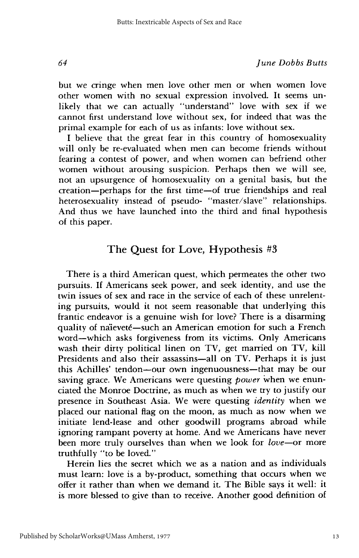but we cringe when men love other men or when women love other women with no sexual expression involved. It seems unlikely that we can actually "understand" love with sex if we cannot first understand love without sex, for indeed that was the primal example for each of us as infants: love without sex.

I believe that the great fear in this country of homosexuality will only be re-evaluated when men can become friends without fearing a contest of power, and when women can befriend other women without arousing suspicion. Perhaps then we will see, not an upsurgence of homosexuality on a genital basis, but the creation-perhaps for the first time-of true friendships and real heterosexuality instead of pseudo- "master/slave" relationships. And thus we have launched into the third and final hypothesis of this paper.

## The Quest for Love, Hypothesis #3

There is a third American quest, which permeates the other two pursuits. If Americans seek power, and seek identity, and use the twin issues of sex and race in the service of each of these unrelenting pursuits, would it not seem reasonable that underlying this frantic endeavor is a genuine wish for love? There is a disarming quality of naieveté—such an American emotion for such a French word-which asks forgiveness from its victims. Only Americans wash their dirty political linen on TV, get married on TV, kill Presidents and also their assassins-all on TV. Perhaps it is just this Achilles' tendon-our own ingenuousness-that may be our saving grace. We Americans were questing *power* when we enunciated the Monroe Doctrine, as much as when we try to justify our presence in Southeast Asia. We were questing *identity* when we placed our national flag on the moon, as much as now when we initiate lend-lease and other goodwill programs abroad while ignoring rampant poverty at home. And we Americans have never been more truly ourselves than when we look for *love-or* more truthfully "to be loved."

Herein lies the secret which we as a nation and as individuals must learn: love is a by-product, something that occurs when we offer it rather than when we demand it. The Bible says it well: it is more blessed to give than to receive. Another good definition of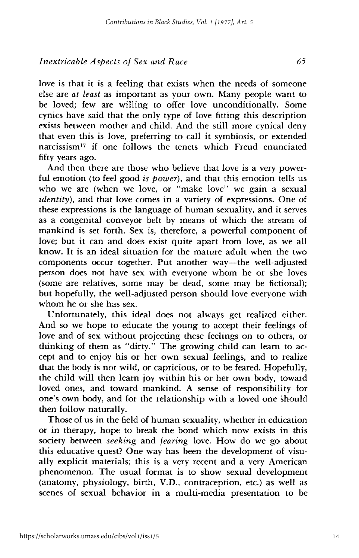love is that it is a feeling that exists when the needs of someone else are *at least* as important as your own. Many people want to be loved; few are willing to offer love unconditionally. Some cynics have said that the only type of love fitting this description exists between mother and child. And the still more cynical deny that even this is love, preferring to call it symbiosis, or extended narcissism<sup>17</sup> if one follows the tenets which Freud enunciated fifty years ago.

And then there are those who believe that love is a very powerful emotion (to feel good *is power),* and that this emotion tells us who we are (when we love, or "make love" we gain a sexual *identity*), and that love comes in a variety of expressions. One of these expressions is the language of human sexuality, and it serves as a congenital conveyor belt by means of which the stream of mankind is set forth. Sex is, therefore, a powerful component of love; but it can and does exist quite apart from love, as we all know. It is an ideal situation for the mature adult when the two components occur together. Put another way-the well-adjusted person does not have sex with everyone whom he or she loves (some are relatives, some may be dead, some may be fictional); but hopefully, the well-adjusted person should love everyone with whom he or she has sex.

Unfortunately, this ideal does not always get realized either. And so we hope to educate the young to accept their feelings of love and of sex without projecting these feelings on to others, or thinking of them as "dirty." The growing child can learn to accept and to enjoy his or her own sexual feelings, and to realize that the body is not wild, or capricious, or to be feared. Hopefully, the child will then learn joy within his or her own body, toward loved ones, and toward mankind. A sense of responsibility for one's own body, and for the relationship with a loved one should then follow naturally.

Those of us in the field of human sexuality, whether in education or in therapy, hope to break the bond which now exists in this society between *seeking* and *fearing* love. How do we go about this educative quest? One way has been the development of visually explicit materials; this is a very recent and a very American phenomenon. The usual format is to show sexual development (anatomy, physiology, birth, V.D., contraception, etc.) as well as scenes of sexual behavior in a multi-media presentation to be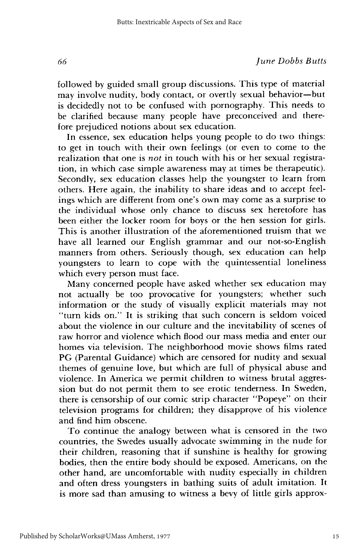followed by guided small group discussions. This type of material may involve nudity, body contact, or overtly sexual behavior-but is decidedly not to be confused with pornography. This needs to be clarified because many people have preconceived and therefore prejudiced notions about sex education.

In essence, sex education helps young people to do two things: to get in touch with their own feelings (or even to come to the realization that one is *not* in touch with his or her sexual registration, in which case simple awareness may at times be therapeutic). Secondly, sex education classes help the youngster to learn from others. Here again, the inability to share ideas and to accept feelings which are different from one's own may come as a surprise to the individual whose only chance to discuss sex heretofore has been either the locker room for boys or the hen session for girls. This is another illustration of the aforementioned truism that we have all learned our English grammar and our not-so-English manners from others. Seriously though, sex education can help youngsters to learn to cope with the quintessential loneliness which every person must face.

Many concerned people have asked whether sex education may not actually be too provocative for youngsters; whether such information or the study of visually explicit materials may not "turn kids on." It is striking that such concern is seldom voiced about the violence in our culture and the inevitability of scenes of raw horror and violence which flood our mass media and enter our homes via television. The neighborhood movie shows films rated PG (Parental Guidance) which are censored for nudity and sexual themes of genuine love, but which are full of physical abuse and violence. In America we permit children to witness brutal aggression but do not permit them to see erotic tenderness. In Sweden, there is censorship of our comic strip character "Popeye" on their television programs for children; they disapprove of his violence and find him obscene.

To continue the analogy between what is censored in the two countries, the Swedes usually advocate swimming in the nude for their children, reasoning that if sunshine is healthy for growing bodies, then the entire body should be exposed. Americans, on the other hand, are uncomfortable with nudity especially in children and often dress youngsters in bathing suits of adult imitation. It is more sad than amusing to witness a bevy of little girls approx-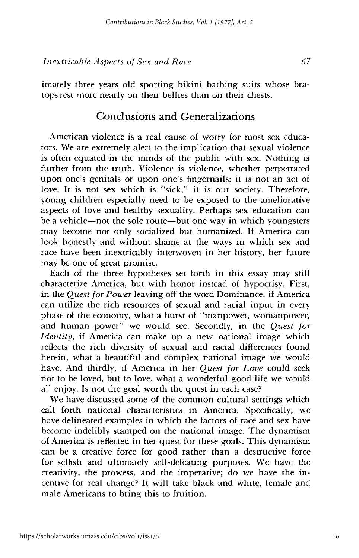imately three years old sporting bikini bathing suits whose bra-

#### Conclusions and Generalizations

tops rest more nearly on their bellies than on their chests.

American violence is a real cause of worry for most sex educators. We are extremely alert to the implication that sexual violence is often equated in the minds of the public with sex. Nothing is further from the truth. Violence is violence, whether perpetrated upon one's genitals or upon one's fingernails: it is not an act of love. It is not sex which is "sick," it is our society. Therefore, young children especially need to be exposed to the ameliorative aspects of love and healthy sexuality. Perhaps sex education can be a vehicle—not the sole route—but one way in which youngsters may become not only socialized but humanized. If America can look honestly and without shame at the ways in which sex and race have been inextricably interwoven in her history, her future may be one of great promise.

Each of the three hypotheses set forth in this essay may still characterize America, but with honor instead of hypocrisy. First, in the *Quest for Power* leaving off the word Dominance, if America can utilize the rich resources of sexual and racial input in every phase of the economy, what a burst of "manpower, womanpower, and human power" we would see. Secondly, in the *Quest for Identity,* if America can make up a new national image which reflects the rich diversity of sexual and racial differences found herein, what a beautiful and complex national image we would have. And thirdly, if America in her *Quest for Love* could seek not to be loved, but to love, what a wonderful good life we would all enjoy. Is not the goal worth the quest in each case?

We have discussed some of the common cultural settings which call forth national characteristics in America. Specifically, we have delineated examples in which the factors of race and sex have become indelibly stamped on the national image. The dynamism of America is reflected in her quest for these goals. This dynamism can be a creative force for good rather than a destructive force for selfish and ultimately self-defeating purposes. We have the creativity, the prowess, and the imperative; do we have the incentive for real change? It will take black and white, female and male Americans to bring this to fruition.